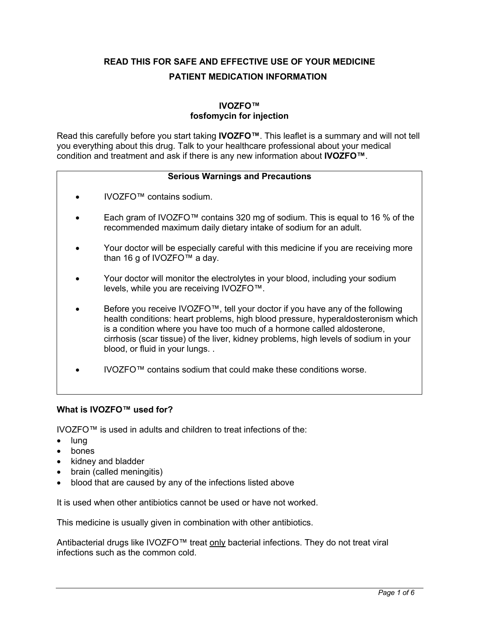**READ THIS FOR SAFE AND EFFECTIVE USE OF YOUR MEDICINE PATIENT MEDICATION INFORMATION**

# **IVOZFO™ fosfomycin for injection**

Read this carefully before you start taking **IVOZFO™**. This leaflet is a summary and will not tell you everything about this drug. Talk to your healthcare professional about your medical condition and treatment and ask if there is any new information about **IVOZFO™**.

## **Serious Warnings and Precautions**

- IVOZFO™ contains sodium.
- Each gram of IVOZFO™ contains 320 mg of sodium. This is equal to 16 % of the recommended maximum daily dietary intake of sodium for an adult.
- Your doctor will be especially careful with this medicine if you are receiving more than 16 g of IVOZFO™ a day.
- Your doctor will monitor the electrolytes in your blood, including your sodium levels, while you are receiving IVOZFO™.
- Before you receive IVOZFO™, tell your doctor if you have any of the following health conditions: heart problems, high blood pressure, hyperaldosteronism which is a condition where you have too much of a hormone called aldosterone, cirrhosis (scar tissue) of the liver, kidney problems, high levels of sodium in your blood, or fluid in your lungs. .
- IVOZFO™ contains sodium that could make these conditions worse.

### **What is IVOZFO™ used for?**

IVOZFO™ is used in adults and children to treat infections of the:

- lung
- bones
- kidney and bladder
- brain (called meningitis)
- blood that are caused by any of the infections listed above

It is used when other antibiotics cannot be used or have not worked.

This medicine is usually given in combination with other antibiotics.

Antibacterial drugs like IVOZFO™ treat only bacterial infections. They do not treat viral infections such as the common cold.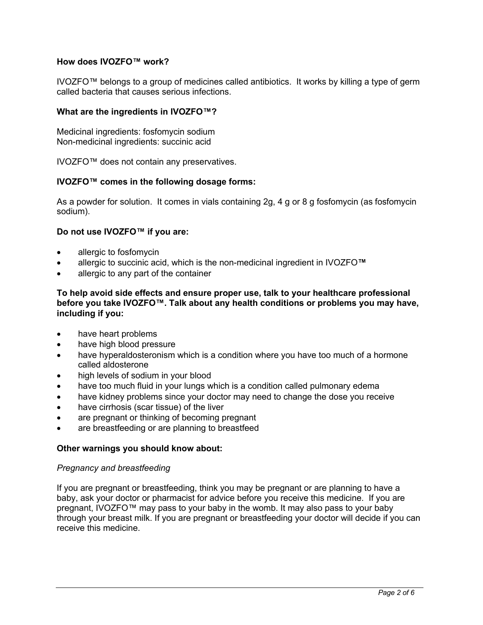### **How does IVOZFO™ work?**

IVOZFO™ belongs to a group of medicines called antibiotics. It works by killing a type of germ called bacteria that causes serious infections.

#### **What are the ingredients in IVOZFO™?**

Medicinal ingredients: fosfomycin sodium Non-medicinal ingredients: succinic acid

IVOZFO™ does not contain any preservatives.

#### **IVOZFO™ comes in the following dosage forms:**

As a powder for solution. It comes in vials containing 2g, 4 g or 8 g fosfomycin (as fosfomycin sodium).

#### **Do not use IVOZFO™ if you are:**

- allergic to fosfomycin
- allergic to succinic acid, which is the non-medicinal ingredient in IVOZFO**™**
- allergic to any part of the container

**To help avoid side effects and ensure proper use, talk to your healthcare professional before you take IVOZFO™. Talk about any health conditions or problems you may have, including if you:** 

- have heart problems
- have high blood pressure
- have hyperaldosteronism which is a condition where you have too much of a hormone called aldosterone
- high levels of sodium in your blood
- have too much fluid in your lungs which is a condition called pulmonary edema
- have kidney problems since your doctor may need to change the dose you receive
- have cirrhosis (scar tissue) of the liver
- are pregnant or thinking of becoming pregnant
- are breastfeeding or are planning to breastfeed

#### **Other warnings you should know about:**

#### *Pregnancy and breastfeeding*

If you are pregnant or breastfeeding, think you may be pregnant or are planning to have a baby, ask your doctor or pharmacist for advice before you receive this medicine. If you are pregnant, IVOZFO™ may pass to your baby in the womb. It may also pass to your baby through your breast milk. If you are pregnant or breastfeeding your doctor will decide if you can receive this medicine.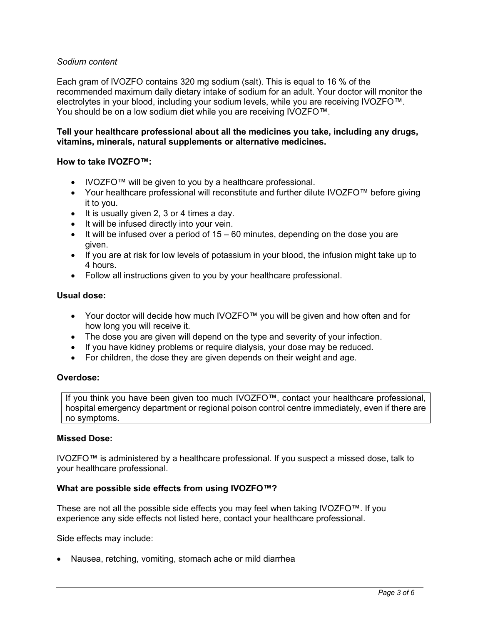### *Sodium content*

Each gram of IVOZFO contains 320 mg sodium (salt). This is equal to 16 % of the recommended maximum daily dietary intake of sodium for an adult. Your doctor will monitor the electrolytes in your blood, including your sodium levels, while you are receiving IVOZFO™. You should be on a low sodium diet while you are receiving IVOZFO™.

#### **Tell your healthcare professional about all the medicines you take, including any drugs, vitamins, minerals, natural supplements or alternative medicines.**

#### **How to take IVOZFO™:**

- IVOZFO™ will be given to you by a healthcare professional.
- Your healthcare professional will reconstitute and further dilute IVOZFO™ before giving it to you.
- It is usually given 2, 3 or 4 times a day.
- It will be infused directly into your vein.
- $\bullet$  It will be infused over a period of 15 60 minutes, depending on the dose you are given.
- If you are at risk for low levels of potassium in your blood, the infusion might take up to 4 hours.
- Follow all instructions given to you by your healthcare professional.

#### **Usual dose:**

- Your doctor will decide how much IVOZFO™ you will be given and how often and for how long you will receive it.
- The dose you are given will depend on the type and severity of your infection.
- If you have kidney problems or require dialysis, your dose may be reduced.
- For children, the dose they are given depends on their weight and age.

#### **Overdose:**

If you think you have been given too much IVOZFO™, contact your healthcare professional, hospital emergency department or regional poison control centre immediately, even if there are no symptoms.

### **Missed Dose:**

IVOZFO™ is administered by a healthcare professional. If you suspect a missed dose, talk to your healthcare professional.

#### **What are possible side effects from using IVOZFO™?**

These are not all the possible side effects you may feel when taking IVOZFO™. If you experience any side effects not listed here, contact your healthcare professional.

Side effects may include:

• Nausea, retching, vomiting, stomach ache or mild diarrhea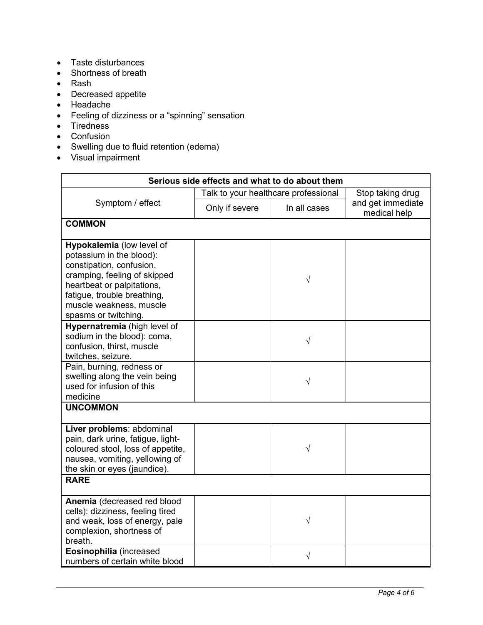- Taste disturbances
- Shortness of breath
- Rash
- Decreased appetite
- Headache
- Feeling of dizziness or a "spinning" sensation
- Tiredness
- Confusion
- Swelling due to fluid retention (edema)
- Visual impairment

| Serious side effects and what to do about them                                                                                                                                                                                    |                                      |              |                                   |  |  |
|-----------------------------------------------------------------------------------------------------------------------------------------------------------------------------------------------------------------------------------|--------------------------------------|--------------|-----------------------------------|--|--|
| Symptom / effect                                                                                                                                                                                                                  | Talk to your healthcare professional |              | Stop taking drug                  |  |  |
|                                                                                                                                                                                                                                   | Only if severe                       | In all cases | and get immediate<br>medical help |  |  |
| <b>COMMON</b>                                                                                                                                                                                                                     |                                      |              |                                   |  |  |
| Hypokalemia (low level of<br>potassium in the blood):<br>constipation, confusion,<br>cramping, feeling of skipped<br>heartbeat or palpitations,<br>fatigue, trouble breathing,<br>muscle weakness, muscle<br>spasms or twitching. |                                      | V            |                                   |  |  |
| Hypernatremia (high level of<br>sodium in the blood): coma,<br>confusion, thirst, muscle<br>twitches, seizure.                                                                                                                    |                                      | $\sqrt{}$    |                                   |  |  |
| Pain, burning, redness or<br>swelling along the vein being<br>used for infusion of this<br>medicine                                                                                                                               |                                      | V            |                                   |  |  |
| <b>UNCOMMON</b>                                                                                                                                                                                                                   |                                      |              |                                   |  |  |
| Liver problems: abdominal<br>pain, dark urine, fatigue, light-<br>coloured stool, loss of appetite,<br>nausea, vomiting, yellowing of<br>the skin or eyes (jaundice).                                                             |                                      | $\sqrt{}$    |                                   |  |  |
| <b>RARE</b>                                                                                                                                                                                                                       |                                      |              |                                   |  |  |
| Anemia (decreased red blood<br>cells): dizziness, feeling tired<br>and weak, loss of energy, pale<br>complexion, shortness of<br>breath.                                                                                          |                                      | V            |                                   |  |  |
| Eosinophilia (increased<br>numbers of certain white blood                                                                                                                                                                         |                                      | $\sqrt{}$    |                                   |  |  |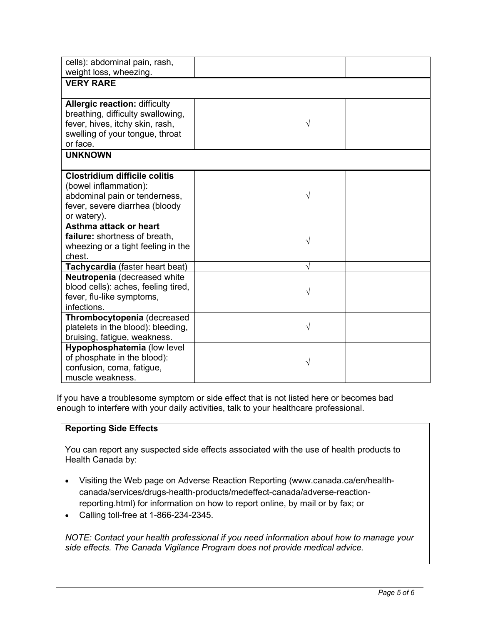| cells): abdominal pain, rash,<br>weight loss, wheezing.                                                                                                     |   |  |
|-------------------------------------------------------------------------------------------------------------------------------------------------------------|---|--|
| <b>VERY RARE</b>                                                                                                                                            |   |  |
| <b>Allergic reaction: difficulty</b><br>breathing, difficulty swallowing,<br>fever, hives, itchy skin, rash,<br>swelling of your tongue, throat<br>or face. | V |  |
| <b>UNKNOWN</b>                                                                                                                                              |   |  |
| <b>Clostridium difficile colitis</b><br>(bowel inflammation):<br>abdominal pain or tenderness,<br>fever, severe diarrhea (bloody<br>or watery).             | V |  |
| Asthma attack or heart<br>failure: shortness of breath.<br>wheezing or a tight feeling in the<br>chest.                                                     | V |  |
| Tachycardia (faster heart beat)                                                                                                                             | V |  |
| Neutropenia (decreased white<br>blood cells): aches, feeling tired,<br>fever, flu-like symptoms,<br>infections.                                             | V |  |
| Thrombocytopenia (decreased<br>platelets in the blood): bleeding,<br>bruising, fatigue, weakness.                                                           | V |  |
| Hypophosphatemia (low level<br>of phosphate in the blood):<br>confusion, coma, fatigue,<br>muscle weakness.                                                 | V |  |

If you have a troublesome symptom or side effect that is not listed here or becomes bad enough to interfere with your daily activities, talk to your healthcare professional.

### **Reporting Side Effects**

You can report any suspected side effects associated with the use of health products to Health Canada by:

- Visiting the Web page on Adverse Reaction Reporting (www.canada.ca/en/healthcanada/services/drugs-health-products/medeffect-canada/adverse-reactionreporting.html) for information on how to report online, by mail or by fax; or
- Calling toll-free at 1-866-234-2345.

*NOTE: Contact your health professional if you need information about how to manage your side effects. The Canada Vigilance Program does not provide medical advice.*